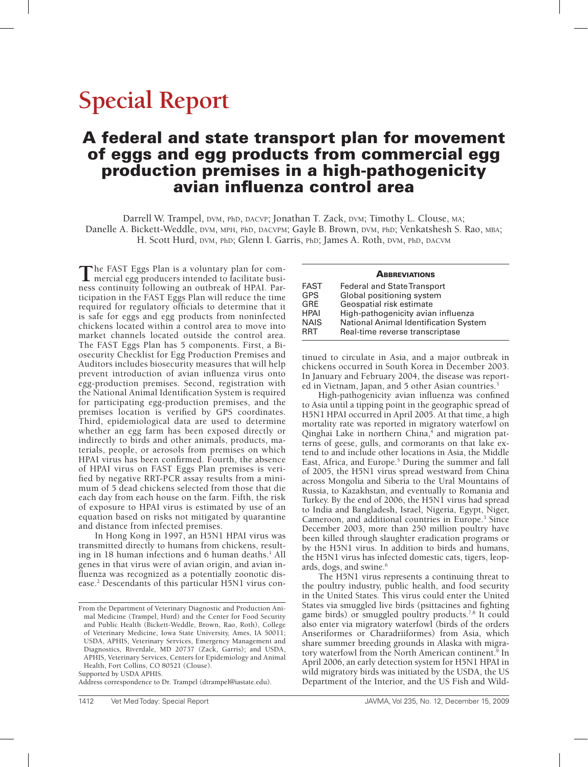# **Special Report**

# A federal and state transport plan for movement of eggs and egg products from commercial egg production premises in a high-pathogenicity avian influenza control area

Darrell W. Trampel, DVM, PhD, DACVP; Jonathan T. Zack, DVM; Timothy L. Clouse, MA; Danelle A. Bickett-Weddle, DVM, MPH, PhD, DACVPM; Gayle B. Brown, DVM, PhD; Venkatshesh S. Rao, MBA; H. Scott Hurd, DVM, PhD; Glenn I. Garris, PhD; James A. Roth, DVM, PhD, DACVM

The FAST Eggs Plan is a voluntary plan for com-<br>mercial egg producers intended to facilitate business continuity following an outbreak of HPAI. Participation in the FAST Eggs Plan will reduce the time required for regulatory officials to determine that it is safe for eggs and egg products from noninfected chickens located within a control area to move into market channels located outside the control area. The FAST Eggs Plan has 5 components. First, a Biosecurity Checklist for Egg Production Premises and Auditors includes biosecurity measures that will help prevent introduction of avian influenza virus onto egg-production premises. Second, registration with the National Animal Identification System is required for participating egg-production premises, and the premises location is verified by GPS coordinates. Third, epidemiological data are used to determine whether an egg farm has been exposed directly or indirectly to birds and other animals, products, materials, people, or aerosols from premises on which HPAI virus has been confirmed. Fourth, the absence of HPAI virus on FAST Eggs Plan premises is verified by negative RRT-PCR assay results from a minimum of 5 dead chickens selected from those that die each day from each house on the farm. Fifth, the risk of exposure to HPAI virus is estimated by use of an equation based on risks not mitigated by quarantine and distance from infected premises.

In Hong Kong in 1997, an H5N1 HPAI virus was transmitted directly to humans from chickens, resulting in 18 human infections and 6 human deaths.<sup>1</sup> All genes in that virus were of avian origin, and avian influenza was recognized as a potentially zoonotic disease.2 Descendants of this particular H5N1 virus con-

Supported by USDA APHIS.

Address correspondence to Dr. Trampel (dtrampel@iastate.edu).

#### **ABBREVIATIONS**

| <b>FAST</b> | <b>Federal and State Transport</b>    |
|-------------|---------------------------------------|
| <b>GPS</b>  | Global positioning system             |
| <b>GRE</b>  | Geospatial risk estimate              |
| <b>HPAI</b> | High-pathogenicity avian influenza    |
| <b>NAIS</b> | National Animal Identification System |
| <b>RRT</b>  | Real-time reverse transcriptase       |

tinued to circulate in Asia, and a major outbreak in chickens occurred in South Korea in December 2003. In January and February 2004, the disease was reported in Vietnam, Japan, and 5 other Asian countries.<sup>3</sup>

High-pathogenicity avian influenza was confined to Asia until a tipping point in the geographic spread of H5N1 HPAI occurred in April 2005. At that time, a high mortality rate was reported in migratory waterfowl on Qinghai Lake in northern China,<sup>4</sup> and migration patterns of geese, gulls, and cormorants on that lake extend to and include other locations in Asia, the Middle East, Africa, and Europe.<sup>5</sup> During the summer and fall of 2005, the H5N1 virus spread westward from China across Mongolia and Siberia to the Ural Mountains of Russia, to Kazakhstan, and eventually to Romania and Turkey. By the end of 2006, the H5N1 virus had spread to India and Bangladesh, Israel, Nigeria, Egypt, Niger, Cameroon, and additional countries in Europe.<sup>3</sup> Since December 2003, more than 250 million poultry have been killed through slaughter eradication programs or by the H5N1 virus. In addition to birds and humans, the H5N1 virus has infected domestic cats, tigers, leopards, dogs, and swine.<sup>6</sup>

The H5N1 virus represents a continuing threat to the poultry industry, public health, and food security in the United States. This virus could enter the United States via smuggled live birds (psittacines and fighting game birds) or smuggled poultry products.<sup>7,8</sup> It could also enter via migratory waterfowl (birds of the orders Anseriformes or Charadriiformes) from Asia, which share summer breeding grounds in Alaska with migratory waterfowl from the North American continent.<sup>9</sup> In April 2006, an early detection system for H5N1 HPAI in wild migratory birds was initiated by the USDA, the US Department of the Interior, and the US Fish and Wild-

From the Department of Veterinary Diagnostic and Production Animal Medicine (Trampel, Hurd) and the Center for Food Security and Public Health (Bickett-Weddle, Brown, Rao, Roth), College of Veterinary Medicine, Iowa State University, Ames, IA 50011; USDA, APHIS, Veterinary Services, Emergency Management and Diagnostics, Riverdale, MD 20737 (Zack, Garris); and USDA, APHIS, Veterinary Services, Centers for Epidemiology and Animal Health, Fort Collins, CO 80521 (Clouse).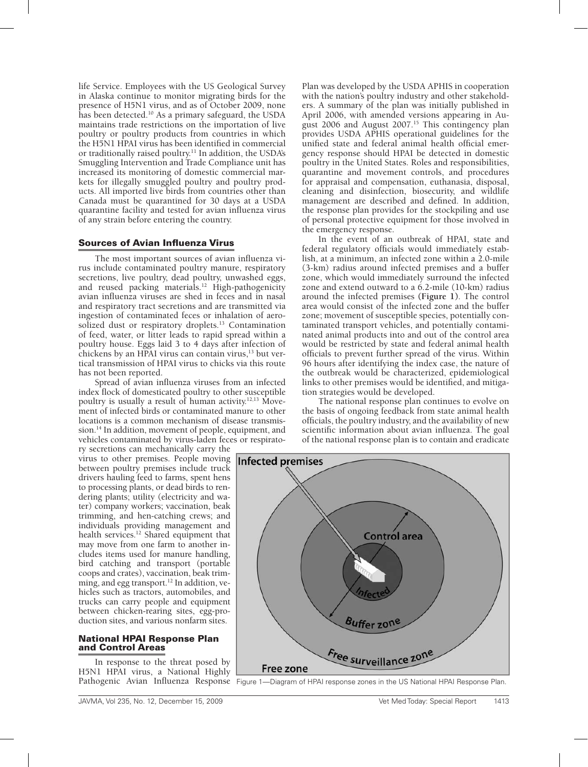life Service. Employees with the US Geological Survey in Alaska continue to monitor migrating birds for the presence of H5N1 virus, and as of October 2009, none has been detected.10 As a primary safeguard, the USDA maintains trade restrictions on the importation of live poultry or poultry products from countries in which the H5N1 HPAI virus has been identified in commercial or traditionally raised poultry.11 In addition, the USDA's Smuggling Intervention and Trade Compliance unit has increased its monitoring of domestic commercial markets for illegally smuggled poultry and poultry products. All imported live birds from countries other than Canada must be quarantined for 30 days at a USDA quarantine facility and tested for avian influenza virus of any strain before entering the country.

#### Sources of Avian Influenza Virus

The most important sources of avian influenza virus include contaminated poultry manure, respiratory secretions, live poultry, dead poultry, unwashed eggs, and reused packing materials.12 High-pathogenicity avian influenza viruses are shed in feces and in nasal and respiratory tract secretions and are transmitted via ingestion of contaminated feces or inhalation of aerosolized dust or respiratory droplets.<sup>13</sup> Contamination of feed, water, or litter leads to rapid spread within a poultry house. Eggs laid 3 to 4 days after infection of chickens by an HPAI virus can contain virus,<sup>13</sup> but vertical transmission of HPAI virus to chicks via this route has not been reported.

Spread of avian influenza viruses from an infected index flock of domesticated poultry to other susceptible poultry is usually a result of human activity.<sup>12,13</sup> Movement of infected birds or contaminated manure to other locations is a common mechanism of disease transmission.14 In addition, movement of people, equipment, and vehicles contaminated by virus-laden feces or respirato-

ry secretions can mechanically carry the virus to other premises. People moving between poultry premises include truck drivers hauling feed to farms, spent hens to processing plants, or dead birds to rendering plants; utility (electricity and water) company workers; vaccination, beak trimming, and hen-catching crews; and individuals providing management and health services.<sup>12</sup> Shared equipment that may move from one farm to another includes items used for manure handling, bird catching and transport (portable coops and crates), vaccination, beak trimming, and egg transport.<sup>12</sup> In addition, vehicles such as tractors, automobiles, and trucks can carry people and equipment between chicken-rearing sites, egg-production sites, and various nonfarm sites.

#### National HPAI Response Plan and Control Areas

In response to the threat posed by H5N1 HPAI virus, a National Highly

Plan was developed by the USDA APHIS in cooperation with the nation's poultry industry and other stakeholders. A summary of the plan was initially published in April 2006, with amended versions appearing in August 2006 and August 2007.15 This contingency plan provides USDA APHIS operational guidelines for the unified state and federal animal health official emergency response should HPAI be detected in domestic poultry in the United States. Roles and responsibilities, quarantine and movement controls, and procedures for appraisal and compensation, euthanasia, disposal, cleaning and disinfection, biosecurity, and wildlife management are described and defined. In addition, the response plan provides for the stockpiling and use of personal protective equipment for those involved in the emergency response.

In the event of an outbreak of HPAI, state and federal regulatory officials would immediately establish, at a minimum, an infected zone within a 2.0-mile (3-km) radius around infected premises and a buffer zone, which would immediately surround the infected zone and extend outward to a 6.2-mile (10-km) radius around the infected premises **(Figure 1)**. The control area would consist of the infected zone and the buffer zone; movement of susceptible species, potentially contaminated transport vehicles, and potentially contaminated animal products into and out of the control area would be restricted by state and federal animal health officials to prevent further spread of the virus. Within 96 hours after identifying the index case, the nature of the outbreak would be characterized, epidemiological links to other premises would be identified, and mitigation strategies would be developed.

The national response plan continues to evolve on the basis of ongoing feedback from state animal health officials, the poultry industry, and the availability of new scientific information about avian influenza. The goal of the national response plan is to contain and eradicate



Pathogenic Avian Influenza Response Figure 1—Diagram of HPAI response zones in the US National HPAI Response Plan.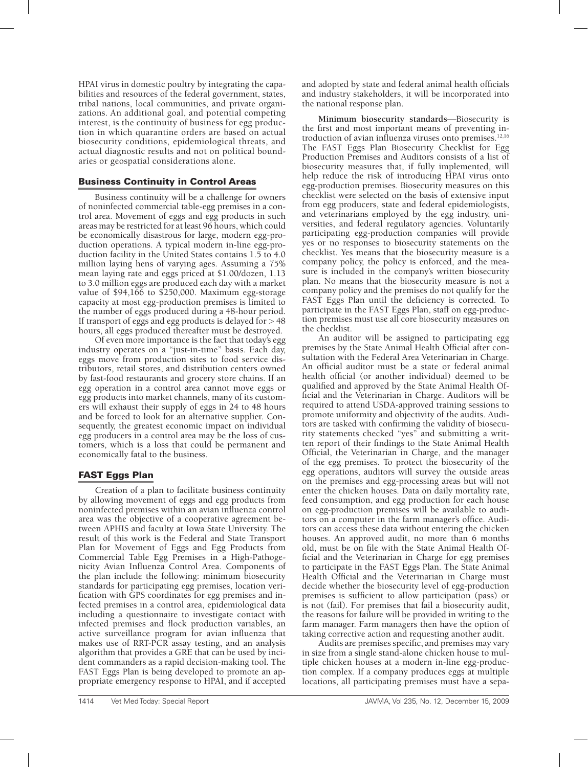HPAI virus in domestic poultry by integrating the capabilities and resources of the federal government, states, tribal nations, local communities, and private organizations. An additional goal, and potential competing interest, is the continuity of business for egg production in which quarantine orders are based on actual biosecurity conditions, epidemiological threats, and actual diagnostic results and not on political boundaries or geospatial considerations alone.

## Business Continuity in Control Areas

Business continuity will be a challenge for owners of noninfected commercial table-egg premises in a control area. Movement of eggs and egg products in such areas may be restricted for at least 96 hours, which could be economically disastrous for large, modern egg-production operations. A typical modern in-line egg-production facility in the United States contains 1.5 to 4.0 million laying hens of varying ages. Assuming a 75% mean laying rate and eggs priced at \$1.00/dozen, 1.13 to 3.0 million eggs are produced each day with a market value of \$94,166 to \$250,000. Maximum egg-storage capacity at most egg-production premises is limited to the number of eggs produced during a 48-hour period. If transport of eggs and egg products is delayed for  $> 48$ hours, all eggs produced thereafter must be destroyed.

Of even more importance is the fact that today's egg industry operates on a "just-in-time" basis. Each day, eggs move from production sites to food service distributors, retail stores, and distribution centers owned by fast-food restaurants and grocery store chains. If an egg operation in a control area cannot move eggs or egg products into market channels, many of its customers will exhaust their supply of eggs in 24 to 48 hours and be forced to look for an alternative supplier. Consequently, the greatest economic impact on individual egg producers in a control area may be the loss of customers, which is a loss that could be permanent and economically fatal to the business.

# FAST Eggs Plan

Creation of a plan to facilitate business continuity by allowing movement of eggs and egg products from noninfected premises within an avian influenza control area was the objective of a cooperative agreement between APHIS and faculty at Iowa State University. The result of this work is the Federal and State Transport Plan for Movement of Eggs and Egg Products from Commercial Table Egg Premises in a High-Pathogenicity Avian Influenza Control Area. Components of the plan include the following: minimum biosecurity standards for participating egg premises, location verification with GPS coordinates for egg premises and infected premises in a control area, epidemiological data including a questionnaire to investigate contact with infected premises and flock production variables, an active surveillance program for avian influenza that makes use of RRT-PCR assay testing, and an analysis algorithm that provides a GRE that can be used by incident commanders as a rapid decision-making tool. The FAST Eggs Plan is being developed to promote an appropriate emergency response to HPAI, and if accepted

and adopted by state and federal animal health officials and industry stakeholders, it will be incorporated into the national response plan.

**Minimum biosecurity standards**—Biosecurity is the first and most important means of preventing introduction of avian influenza viruses onto premises.12,16 The FAST Eggs Plan Biosecurity Checklist for Egg Production Premises and Auditors consists of a list of biosecurity measures that, if fully implemented, will help reduce the risk of introducing HPAI virus onto egg-production premises. Biosecurity measures on this checklist were selected on the basis of extensive input from egg producers, state and federal epidemiologists, and veterinarians employed by the egg industry, universities, and federal regulatory agencies. Voluntarily participating egg-production companies will provide yes or no responses to biosecurity statements on the checklist. Yes means that the biosecurity measure is a company policy, the policy is enforced, and the measure is included in the company's written biosecurity plan. No means that the biosecurity measure is not a company policy and the premises do not qualify for the FAST Eggs Plan until the deficiency is corrected. To participate in the FAST Eggs Plan, staff on egg-production premises must use all core biosecurity measures on the checklist.

An auditor will be assigned to participating egg premises by the State Animal Health Official after consultation with the Federal Area Veterinarian in Charge. An official auditor must be a state or federal animal health official (or another individual) deemed to be qualified and approved by the State Animal Health Official and the Veterinarian in Charge. Auditors will be required to attend USDA-approved training sessions to promote uniformity and objectivity of the audits. Auditors are tasked with confirming the validity of biosecurity statements checked "yes" and submitting a written report of their findings to the State Animal Health Official, the Veterinarian in Charge, and the manager of the egg premises. To protect the biosecurity of the egg operations, auditors will survey the outside areas on the premises and egg-processing areas but will not enter the chicken houses. Data on daily mortality rate, feed consumption, and egg production for each house on egg-production premises will be available to auditors on a computer in the farm manager's office. Auditors can access these data without entering the chicken houses. An approved audit, no more than 6 months old, must be on file with the State Animal Health Official and the Veterinarian in Charge for egg premises to participate in the FAST Eggs Plan. The State Animal Health Official and the Veterinarian in Charge must decide whether the biosecurity level of egg-production premises is sufficient to allow participation (pass) or is not (fail). For premises that fail a biosecurity audit, the reasons for failure will be provided in writing to the farm manager. Farm managers then have the option of taking corrective action and requesting another audit.

Audits are premises specific, and premises may vary in size from a single stand-alone chicken house to multiple chicken houses at a modern in-line egg-production complex. If a company produces eggs at multiple locations, all participating premises must have a sepa-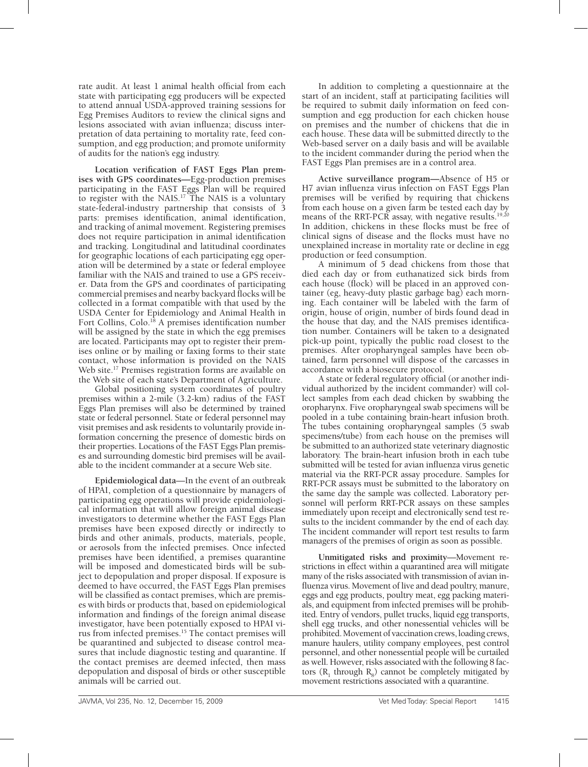rate audit. At least 1 animal health official from each state with participating egg producers will be expected to attend annual USDA-approved training sessions for Egg Premises Auditors to review the clinical signs and lesions associated with avian influenza; discuss interpretation of data pertaining to mortality rate, feed consumption, and egg production; and promote uniformity of audits for the nation's egg industry.

**Location verification of FAST Eggs Plan premises with GPS coordinates—**Egg-production premises participating in the FAST Eggs Plan will be required to register with the NAIS.<sup>17</sup> The NAIS is a voluntary state-federal-industry partnership that consists of 3 parts: premises identification, animal identification, and tracking of animal movement. Registering premises does not require participation in animal identification and tracking. Longitudinal and latitudinal coordinates for geographic locations of each participating egg operation will be determined by a state or federal employee familiar with the NAIS and trained to use a GPS receiver. Data from the GPS and coordinates of participating commercial premises and nearby backyard flocks will be collected in a format compatible with that used by the USDA Center for Epidemiology and Animal Health in Fort Collins, Colo.<sup>18</sup> A premises identification number will be assigned by the state in which the egg premises are located. Participants may opt to register their premises online or by mailing or faxing forms to their state contact, whose information is provided on the NAIS Web site.<sup>17</sup> Premises registration forms are available on the Web site of each state's Department of Agriculture.

Global positioning system coordinates of poultry premises within a 2-mile (3.2-km) radius of the FAST Eggs Plan premises will also be determined by trained state or federal personnel. State or federal personnel may visit premises and ask residents to voluntarily provide information concerning the presence of domestic birds on their properties. Locations of the FAST Eggs Plan premises and surrounding domestic bird premises will be available to the incident commander at a secure Web site.

**Epidemiological data**—In the event of an outbreak of HPAI, completion of a questionnaire by managers of participating egg operations will provide epidemiological information that will allow foreign animal disease investigators to determine whether the FAST Eggs Plan premises have been exposed directly or indirectly to birds and other animals, products, materials, people, or aerosols from the infected premises. Once infected premises have been identified, a premises quarantine will be imposed and domesticated birds will be subject to depopulation and proper disposal. If exposure is deemed to have occurred, the FAST Eggs Plan premises will be classified as contact premises, which are premises with birds or products that, based on epidemiological information and findings of the foreign animal disease investigator, have been potentially exposed to HPAI virus from infected premises.15 The contact premises will be quarantined and subjected to disease control measures that include diagnostic testing and quarantine. If the contact premises are deemed infected, then mass depopulation and disposal of birds or other susceptible animals will be carried out.

In addition to completing a questionnaire at the start of an incident, staff at participating facilities will be required to submit daily information on feed consumption and egg production for each chicken house on premises and the number of chickens that die in each house. These data will be submitted directly to the Web-based server on a daily basis and will be available to the incident commander during the period when the FAST Eggs Plan premises are in a control area.

**Active surveillance program—**Absence of H5 or H7 avian influenza virus infection on FAST Eggs Plan premises will be verified by requiring that chickens from each house on a given farm be tested each day by means of the RRT-PCR assay, with negative results.<sup>19,20</sup> In addition, chickens in these flocks must be free of clinical signs of disease and the flocks must have no unexplained increase in mortality rate or decline in egg production or feed consumption.

A minimum of 5 dead chickens from those that died each day or from euthanatized sick birds from each house (flock) will be placed in an approved container (eg, heavy-duty plastic garbage bag) each morning. Each container will be labeled with the farm of origin, house of origin, number of birds found dead in the house that day, and the NAIS premises identification number. Containers will be taken to a designated pick-up point, typically the public road closest to the premises. After oropharyngeal samples have been obtained, farm personnel will dispose of the carcasses in accordance with a biosecure protocol.

A state or federal regulatory official (or another individual authorized by the incident commander) will collect samples from each dead chicken by swabbing the oropharynx. Five oropharyngeal swab specimens will be pooled in a tube containing brain-heart infusion broth. The tubes containing oropharyngeal samples (5 swab specimens/tube) from each house on the premises will be submitted to an authorized state veterinary diagnostic laboratory. The brain-heart infusion broth in each tube submitted will be tested for avian influenza virus genetic material via the RRT-PCR assay procedure. Samples for RRT-PCR assays must be submitted to the laboratory on the same day the sample was collected. Laboratory personnel will perform RRT-PCR assays on these samples immediately upon receipt and electronically send test results to the incident commander by the end of each day. The incident commander will report test results to farm managers of the premises of origin as soon as possible.

**Unmitigated risks and proximity**—Movement restrictions in effect within a quarantined area will mitigate many of the risks associated with transmission of avian influenza virus. Movement of live and dead poultry, manure, eggs and egg products, poultry meat, egg packing materials, and equipment from infected premises will be prohibited. Entry of vendors, pullet trucks, liquid egg transports, shell egg trucks, and other nonessential vehicles will be prohibited. Movement of vaccination crews, loading crews, manure haulers, utility company employees, pest control personnel, and other nonessential people will be curtailed as well. However, risks associated with the following 8 factors  $(R_1$  through  $R_8$ ) cannot be completely mitigated by movement restrictions associated with a quarantine.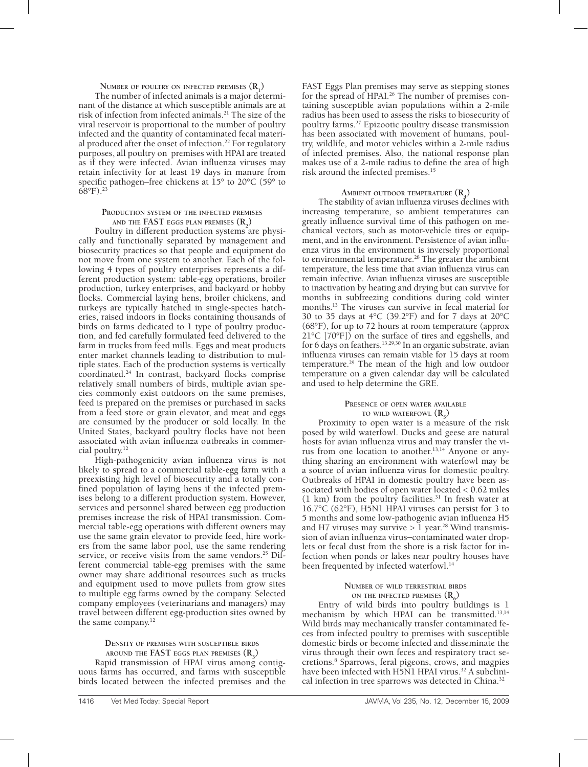# **NUMBER** OF POULTRY ON INFECTED PREMISES  $(R_1)$

The number of infected animals is a major determinant of the distance at which susceptible animals are at risk of infection from infected animals.<sup>21</sup> The size of the viral reservoir is proportional to the number of poultry infected and the quantity of contaminated fecal material produced after the onset of infection.<sup>22</sup> For regulatory purposes, all poultry on premises with HPAI are treated as if they were infected. Avian influenza viruses may retain infectivity for at least 19 days in manure from specific pathogen–free chickens at 15<sup>°</sup> to 20<sup>°</sup>C (59<sup>°</sup> to  $(68°F)^2$ <sup>23</sup>

#### **Production system of the infected premises** AND THE **FAST eggs plan premises**  $(R_2)$

Poultry in different production systems are physically and functionally separated by management and biosecurity practices so that people and equipment do not move from one system to another. Each of the following 4 types of poultry enterprises represents a different production system: table-egg operations, broiler production, turkey enterprises, and backyard or hobby flocks. Commercial laying hens, broiler chickens, and turkeys are typically hatched in single-species hatcheries, raised indoors in flocks containing thousands of birds on farms dedicated to 1 type of poultry production, and fed carefully formulated feed delivered to the farm in trucks from feed mills. Eggs and meat products enter market channels leading to distribution to multiple states. Each of the production systems is vertically coordinated.24 In contrast, backyard flocks comprise relatively small numbers of birds, multiple avian species commonly exist outdoors on the same premises, feed is prepared on the premises or purchased in sacks from a feed store or grain elevator, and meat and eggs are consumed by the producer or sold locally. In the United States, backyard poultry flocks have not been associated with avian influenza outbreaks in commercial poultry.12

High-pathogenicity avian influenza virus is not likely to spread to a commercial table-egg farm with a preexisting high level of biosecurity and a totally confined population of laying hens if the infected premises belong to a different production system. However, services and personnel shared between egg production premises increase the risk of HPAI transmission. Commercial table-egg operations with different owners may use the same grain elevator to provide feed, hire workers from the same labor pool, use the same rendering service, or receive visits from the same vendors.<sup>25</sup> Different commercial table-egg premises with the same owner may share additional resources such as trucks and equipment used to move pullets from grow sites to multiple egg farms owned by the company. Selected company employees (veterinarians and managers) may travel between different egg-production sites owned by the same company.12

#### **Density of premises with susceptible birds** AROUND THE  $FAST$  **eggs plan premises**  $(R_3)$

Rapid transmission of HPAI virus among contiguous farms has occurred, and farms with susceptible birds located between the infected premises and the FAST Eggs Plan premises may serve as stepping stones for the spread of HPAI.<sup>26</sup> The number of premises containing susceptible avian populations within a 2-mile radius has been used to assess the risks to biosecurity of poultry farms.27 Epizootic poultry disease transmission has been associated with movement of humans, poultry, wildlife, and motor vehicles within a 2-mile radius of infected premises. Also, the national response plan makes use of a 2-mile radius to define the area of high risk around the infected premises.15

# **AMBIENT** OUTDOOR TEMPERATURE  $(R_4)$

The stability of avian influenza viruses declines with increasing temperature, so ambient temperatures can greatly influence survival time of this pathogen on mechanical vectors, such as motor-vehicle tires or equipment, and in the environment. Persistence of avian influenza virus in the environment is inversely proportional to environmental temperature.<sup>28</sup> The greater the ambient temperature, the less time that avian influenza virus can remain infective. Avian influenza viruses are susceptible to inactivation by heating and drying but can survive for months in subfreezing conditions during cold winter months.13 The viruses can survive in fecal material for 30 to 35 days at 4°C (39.2°F) and for 7 days at 20°C (68°F), for up to 72 hours at room temperature (approx 21°C [70°F]) on the surface of tires and eggshells, and for 6 days on feathers.<sup>13,29,30</sup> In an organic substrate, avian influenza viruses can remain viable for 15 days at room temperature.29 The mean of the high and low outdoor temperature on a given calendar day will be calculated and used to help determine the GRE.

### **Presence of open water available to** wild waterfowl  $(R_5)$

Proximity to open water is a measure of the risk posed by wild waterfowl. Ducks and geese are natural hosts for avian influenza virus and may transfer the virus from one location to another.13,14 Anyone or anything sharing an environment with waterfowl may be a source of avian influenza virus for domestic poultry. Outbreaks of HPAI in domestic poultry have been associated with bodies of open water located < 0.62 miles  $(1 \text{ km})$  from the poultry facilities.<sup>31</sup> In fresh water at 16.7°C (62°F), H5N1 HPAI viruses can persist for 3 to 5 months and some low-pathogenic avian influenza H5 and H7 viruses may survive  $> 1$  year.<sup>28</sup> Wind transmission of avian influenza virus−contaminated water droplets or fecal dust from the shore is a risk factor for infection when ponds or lakes near poultry houses have been frequented by infected waterfowl.<sup>14</sup>

#### **Number of wild terrestrial birds** ON THE **INFECTED** PREMISES  $(R_6)$

Entry of wild birds into poultry buildings is 1 mechanism by which HPAI can be transmitted.<sup>13,14</sup> Wild birds may mechanically transfer contaminated feces from infected poultry to premises with susceptible domestic birds or become infected and disseminate the virus through their own feces and respiratory tract secretions.8 Sparrows, feral pigeons, crows, and magpies have been infected with H5N1 HPAI virus.<sup>32</sup> A subclinical infection in tree sparrows was detected in China.<sup>32</sup>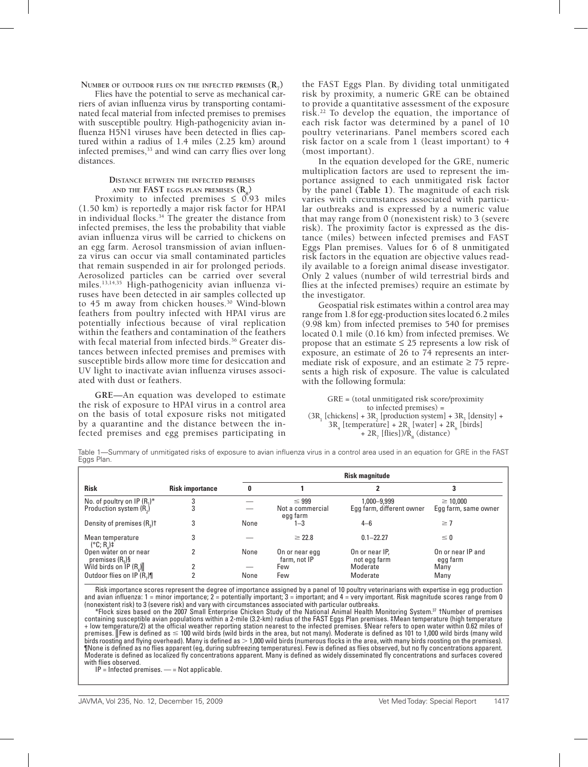**NUMBER** OF OUTDOOR FLIES ON THE INFECTED PREMISES  $(R_7)$ 

Flies have the potential to serve as mechanical carriers of avian influenza virus by transporting contaminated fecal material from infected premises to premises with susceptible poultry. High-pathogenicity avian influenza H5N1 viruses have been detected in flies captured within a radius of 1.4 miles (2.25 km) around infected premises,<sup>33</sup> and wind can carry flies over long distances.

#### **Distance between the infected premises** AND THE **FAST eggs plan premises**  $(\mathbf{R}_8)$

Proximity to infected premises  $\leq$  0.93 miles (1.50 km) is reportedly a major risk factor for HPAI in individual flocks. $34$  The greater the distance from infected premises, the less the probability that viable avian influenza virus will be carried to chickens on an egg farm. Aerosol transmission of avian influenza virus can occur via small contaminated particles that remain suspended in air for prolonged periods. Aerosolized particles can be carried over several miles.13,14,35 High-pathogenicity avian influenza viruses have been detected in air samples collected up to 45 m away from chicken houses.30 Wind-blown feathers from poultry infected with HPAI virus are potentially infectious because of viral replication within the feathers and contamination of the feathers with fecal material from infected birds.<sup>36</sup> Greater distances between infected premises and premises with susceptible birds allow more time for desiccation and UV light to inactivate avian influenza viruses associated with dust or feathers.

**GRE**—An equation was developed to estimate the risk of exposure to HPAI virus in a control area on the basis of total exposure risks not mitigated by a quarantine and the distance between the infected premises and egg premises participating in

the FAST Eggs Plan. By dividing total unmitigated risk by proximity, a numeric GRE can be obtained to provide a quantitative assessment of the exposure risk.22 To develop the equation, the importance of each risk factor was determined by a panel of 10 poultry veterinarians. Panel members scored each risk factor on a scale from 1 (least important) to 4 (most important).

In the equation developed for the GRE, numeric multiplication factors are used to represent the importance assigned to each unmitigated risk factor by the panel **(Table 1)**. The magnitude of each risk varies with circumstances associated with particular outbreaks and is expressed by a numeric value that may range from 0 (nonexistent risk) to 3 (severe risk). The proximity factor is expressed as the distance (miles) between infected premises and FAST Eggs Plan premises. Values for 6 of 8 unmitigated risk factors in the equation are objective values readily available to a foreign animal disease investigator. Only 2 values (number of wild terrestrial birds and flies at the infected premises) require an estimate by the investigator.

Geospatial risk estimates within a control area may range from 1.8 for egg-production sites located 6.2 miles (9.98 km) from infected premises to 540 for premises located 0.1 mile (0.16 km) from infected premises. We propose that an estimate  $\leq 25$  represents a low risk of exposure, an estimate of  $26$  to  $74$  represents an intermediate risk of exposure, and an estimate  $\geq$  75 represents a high risk of exposure. The value is calculated with the following formula:

GRE = (total unmitigated risk score/proximity to infected premises) =  $(3R_1$  [chickens] +  $3R_2$  [production system] +  $3R_3$  [density] +  $3R_4$  [temperature] +  $2R_5$  [water] +  $2R_6$  [birds] + 2R<sub>7</sub> [flies])/ $\tilde{R}_8$  (distance)

Table 1—Summary of unmitigated risks of exposure to avian influenza virus in a control area used in an equation for GRE in the FAST Eggs Plan.

| <b>Risk</b>                                                           | <b>Risk importance</b> | <b>Risk magnitude</b> |                                            |                                          |                                       |
|-----------------------------------------------------------------------|------------------------|-----------------------|--------------------------------------------|------------------------------------------|---------------------------------------|
|                                                                       |                        | 0                     |                                            | 2                                        | 3                                     |
| No. of poultry on IP $(R_1)^*$<br>Production system (R <sub>2</sub> ) | 3<br>3                 |                       | $\leq 999$<br>Not a commercial<br>egg farm | 1,000-9,999<br>Egg farm, different owner | $\geq 10.000$<br>Egg farm, same owner |
| Density of premises (R <sub>2</sub> ) <sup>†</sup>                    | 3                      | None                  | $1 - 3$                                    | $4 - 6$                                  | $\geq 7$                              |
| Mean temperature<br>$(^{\circ}C; R)$ =                                | 3                      |                       | $\geq 22.8$                                | $0.1 - 22.27$                            | $\leq 0$                              |
| Open water on or near<br>premises $(R5)\$                             |                        | None                  | On or near egg<br>farm, not IP             | On or near IP.<br>not egg farm           | On or near IP and<br>egg farm         |
| Wild birds on $\overline{IP}$ (R <sub>e</sub> )                       |                        | None                  | Few                                        | Moderate<br>Moderate                     | Many                                  |
| Outdoor flies on IP (R,)                                              |                        |                       | Few                                        |                                          | Many                                  |

Risk importance scores represent the degree of importance assigned by a panel of 10 poultry veterinarians with expertise in egg production and avian influenza: 1 = minor importance; 2 = potentially important; 3 = important; and 4 = very important. Risk magnitude scores range from 0 (nonexistent risk) to 3 (severe risk) and vary with circumstances associated with particular outbreaks.

\*Flock sizes based on the 2007 Small Enterprise Chicken Study of the National Animal Health Monitoring System.37 †Number of premises containing susceptible avian populations within a 2-mile (3.2-km) radius of the FAST Eggs Plan premises. ‡Mean temperature (high temperature + low temperature/2) at the official weather reporting station nearest to the infected premises. §Near refers to open water within 0.62 miles of premises. ∥Few is defined as ≤ 100 wild birds (wild birds in the area, but not many). Moderate is defined as 101 to 1,000 wild birds (many wild<br>birds roosting and flying overhead). Many is defined as > 1,000 wild birds (n ¶None is defined as no flies apparent (eg, during subfreezing temperatures). Few is defined as flies observed, but no fly concentrations apparent. Moderate is defined as localized fly concentrations apparent. Many is defined as widely disseminated fly concentrations and surfaces covered with flies observed.

 $IP = Infected premises.$   $\longrightarrow$  Not applicable.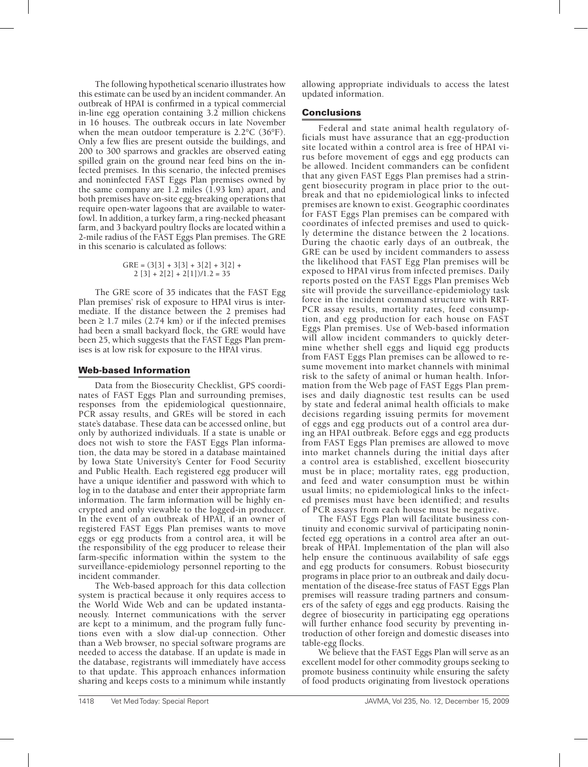The following hypothetical scenario illustrates how this estimate can be used by an incident commander. An outbreak of HPAI is confirmed in a typical commercial in-line egg operation containing 3.2 million chickens in 16 houses. The outbreak occurs in late November when the mean outdoor temperature is 2.2°C (36°F). Only a few flies are present outside the buildings, and 200 to 300 sparrows and grackles are observed eating spilled grain on the ground near feed bins on the infected premises. In this scenario, the infected premises and noninfected FAST Eggs Plan premises owned by the same company are 1.2 miles (1.93 km) apart, and both premises have on-site egg-breaking operations that require open-water lagoons that are available to waterfowl. In addition, a turkey farm, a ring-necked pheasant farm, and 3 backyard poultry flocks are located within a 2-mile radius of the FAST Eggs Plan premises. The GRE in this scenario is calculated as follows:

$$
GRE = (3[3] + 3[3] + 3[2] + 3[2] + 2[3] + 2[2] + 2[1])/1.2 = 35
$$

The GRE score of 35 indicates that the FAST Egg Plan premises' risk of exposure to HPAI virus is intermediate. If the distance between the 2 premises had been  $\geq 1.7$  miles (2.74 km) or if the infected premises had been a small backyard flock, the GRE would have been 25, which suggests that the FAST Eggs Plan premises is at low risk for exposure to the HPAI virus.

#### Web-based Information

Data from the Biosecurity Checklist, GPS coordinates of FAST Eggs Plan and surrounding premises, responses from the epidemiological questionnaire, PCR assay results, and GREs will be stored in each state's database. These data can be accessed online, but only by authorized individuals. If a state is unable or does not wish to store the FAST Eggs Plan information, the data may be stored in a database maintained by Iowa State University's Center for Food Security and Public Health. Each registered egg producer will have a unique identifier and password with which to log in to the database and enter their appropriate farm information. The farm information will be highly encrypted and only viewable to the logged-in producer. In the event of an outbreak of HPAI, if an owner of registered FAST Eggs Plan premises wants to move eggs or egg products from a control area, it will be the responsibility of the egg producer to release their farm-specific information within the system to the surveillance-epidemiology personnel reporting to the incident commander.

The Web-based approach for this data collection system is practical because it only requires access to the World Wide Web and can be updated instantaneously. Internet communications with the server are kept to a minimum, and the program fully functions even with a slow dial-up connection. Other than a Web browser, no special software programs are needed to access the database. If an update is made in the database, registrants will immediately have access to that update. This approach enhances information sharing and keeps costs to a minimum while instantly

allowing appropriate individuals to access the latest updated information.

#### **Conclusions**

Federal and state animal health regulatory officials must have assurance that an egg-production site located within a control area is free of HPAI virus before movement of eggs and egg products can be allowed. Incident commanders can be confident that any given FAST Eggs Plan premises had a stringent biosecurity program in place prior to the outbreak and that no epidemiological links to infected premises are known to exist. Geographic coordinates for FAST Eggs Plan premises can be compared with coordinates of infected premises and used to quickly determine the distance between the 2 locations. During the chaotic early days of an outbreak, the GRE can be used by incident commanders to assess the likelihood that FAST Egg Plan premises will be exposed to HPAI virus from infected premises. Daily reports posted on the FAST Eggs Plan premises Web site will provide the surveillance-epidemiology task force in the incident command structure with RRT-PCR assay results, mortality rates, feed consumption, and egg production for each house on FAST Eggs Plan premises. Use of Web-based information will allow incident commanders to quickly determine whether shell eggs and liquid egg products from FAST Eggs Plan premises can be allowed to resume movement into market channels with minimal risk to the safety of animal or human health. Information from the Web page of FAST Eggs Plan premises and daily diagnostic test results can be used by state and federal animal health officials to make decisions regarding issuing permits for movement of eggs and egg products out of a control area during an HPAI outbreak. Before eggs and egg products from FAST Eggs Plan premises are allowed to move into market channels during the initial days after a control area is established, excellent biosecurity must be in place; mortality rates, egg production, and feed and water consumption must be within usual limits; no epidemiological links to the infected premises must have been identified; and results of PCR assays from each house must be negative.

The FAST Eggs Plan will facilitate business continuity and economic survival of participating noninfected egg operations in a control area after an outbreak of HPAI. Implementation of the plan will also help ensure the continuous availability of safe eggs and egg products for consumers. Robust biosecurity programs in place prior to an outbreak and daily documentation of the disease-free status of FAST Eggs Plan premises will reassure trading partners and consumers of the safety of eggs and egg products. Raising the degree of biosecurity in participating egg operations will further enhance food security by preventing introduction of other foreign and domestic diseases into table-egg flocks.

We believe that the FAST Eggs Plan will serve as an excellent model for other commodity groups seeking to promote business continuity while ensuring the safety of food products originating from livestock operations